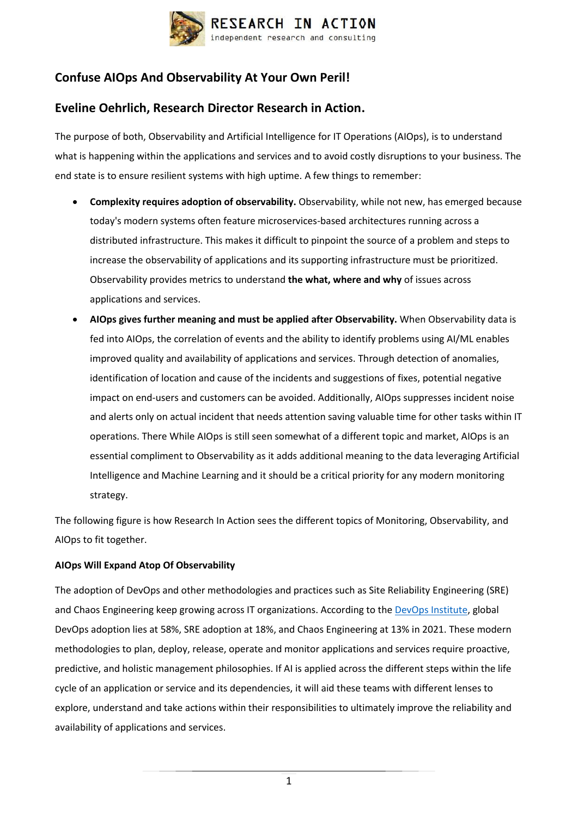

# **Confuse AIOps And Observability At Your Own Peril!**

# **Eveline Oehrlich, Research Director Research in Action.**

The purpose of both, Observability and Artificial Intelligence for IT Operations (AIOps), is to understand what is happening within the applications and services and to avoid costly disruptions to your business. The end state is to ensure resilient systems with high uptime. A few things to remember:

- **Complexity requires adoption of observability.** Observability, while not new, has emerged because today's modern systems often feature microservices-based architectures running across a distributed infrastructure. This makes it difficult to pinpoint the source of a problem and steps to increase the observability of applications and its supporting infrastructure must be prioritized. Observability provides metrics to understand **the what, where and why** of issues across applications and services.
- **AIOps gives further meaning and must be applied after Observability.** When Observability data is fed into AIOps, the correlation of events and the ability to identify problems using AI/ML enables improved quality and availability of applications and services. Through detection of anomalies, identification of location and cause of the incidents and suggestions of fixes, potential negative impact on end-users and customers can be avoided. Additionally, AIOps suppresses incident noise and alerts only on actual incident that needs attention saving valuable time for other tasks within IT operations. There While AIOps is still seen somewhat of a different topic and market, AIOps is an essential compliment to Observability as it adds additional meaning to the data leveraging Artificial Intelligence and Machine Learning and it should be a critical priority for any modern monitoring strategy.

The following figure is how Research In Action sees the different topics of Monitoring, Observability, and AIOps to fit together.

## **AIOps Will Expand Atop Of Observability**

The adoption of DevOps and other methodologies and practices such as Site Reliability Engineering (SRE) and Chaos Engineering keep growing across IT organizations. According to the [DevOps Institute,](https://www.devopsinstitute.com/upskilling-it/) global DevOps adoption lies at 58%, SRE adoption at 18%, and Chaos Engineering at 13% in 2021. These modern methodologies to plan, deploy, release, operate and monitor applications and services require proactive, predictive, and holistic management philosophies. If AI is applied across the different steps within the life cycle of an application or service and its dependencies, it will aid these teams with different lenses to explore, understand and take actions within their responsibilities to ultimately improve the reliability and availability of applications and services.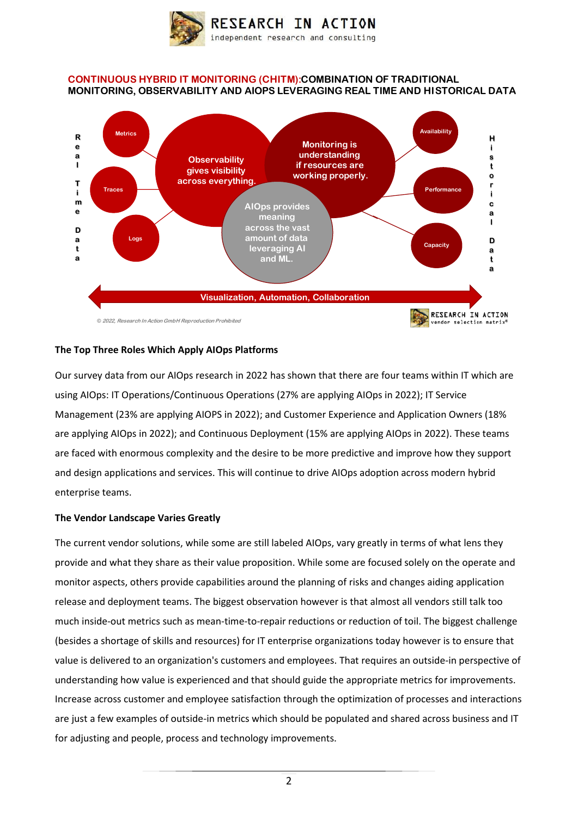

## **CONTINUOUS HYBRID IT MONITORING (CHITM): COMBINATION OF TRADITIONAL** MONITORING, OBSERVABILITY AND AIOPS LEVERAGING REAL TIME AND HISTORICAL DATA



#### **The Top Three Roles Which Apply AIOps Platforms**

Our survey data from our AIOps research in 2022 has shown that there are four teams within IT which are using AIOps: IT Operations/Continuous Operations (27% are applying AIOps in 2022); IT Service Management (23% are applying AIOPS in 2022); and Customer Experience and Application Owners (18% are applying AIOps in 2022); and Continuous Deployment (15% are applying AIOps in 2022). These teams are faced with enormous complexity and the desire to be more predictive and improve how they support and design applications and services. This will continue to drive AIOps adoption across modern hybrid enterprise teams.

#### **The Vendor Landscape Varies Greatly**

The current vendor solutions, while some are still labeled AIOps, vary greatly in terms of what lens they provide and what they share as their value proposition. While some are focused solely on the operate and monitor aspects, others provide capabilities around the planning of risks and changes aiding application release and deployment teams. The biggest observation however is that almost all vendors still talk too much inside-out metrics such as mean-time-to-repair reductions or reduction of toil. The biggest challenge (besides a shortage of skills and resources) for IT enterprise organizations today however is to ensure that value is delivered to an organization's customers and employees. That requires an outside-in perspective of understanding how value is experienced and that should guide the appropriate metrics for improvements. Increase across customer and employee satisfaction through the optimization of processes and interactions are just a few examples of outside-in metrics which should be populated and shared across business and IT for adjusting and people, process and technology improvements.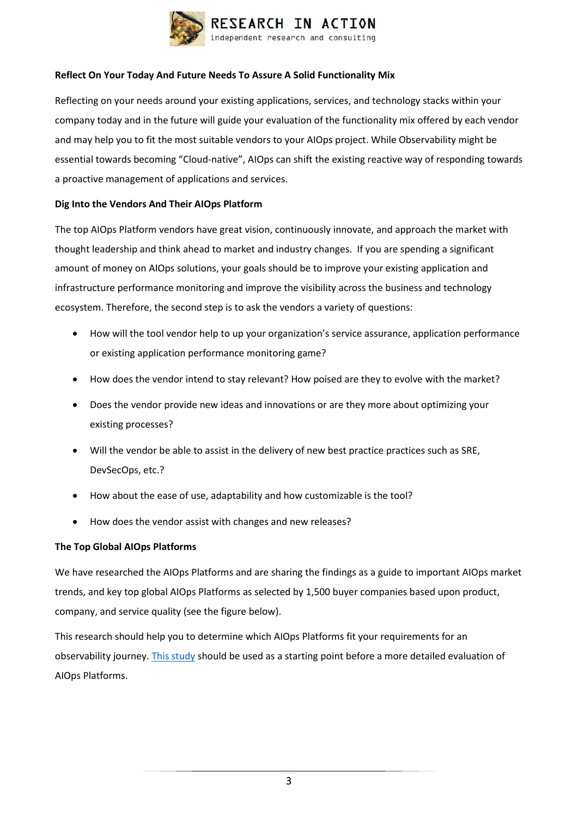

## **Reflect On Your Today And Future Needs To Assure A Solid Functionality Mix**

Reflecting on your needs around your existing applications, services, and technology stacks within your company today and in the future will guide your evaluation of the functionality mix offered by each vendor and may help you to fit the most suitable vendors to your AIOps project. While Observability might be essential towards becoming "Cloud-native", AIOps can shift the existing reactive way of responding towards a proactive management of applications and services.

#### **Dig Into the Vendors And Their AIOps Platform**

The top AIOps Platform vendors have great vision, continuously innovate, and approach the market with thought leadership and think ahead to market and industry changes. If you are spending a significant amount of money on AIOps solutions, your goals should be to improve your existing application and infrastructure performance monitoring and improve the visibility across the business and technology ecosystem. Therefore, the second step is to ask the vendors a variety of questions:

- How will the tool vendor help to up your organization's service assurance, application performance or existing application performance monitoring game?
- How does the vendor intend to stay relevant? How poised are they to evolve with the market?
- Does the vendor provide new ideas and innovations or are they more about optimizing your existing processes?
- Will the vendor be able to assist in the delivery of new best practice practices such as SRE, DevSecOps, etc.?
- How about the ease of use, adaptability and how customizable is the tool?
- How does the vendor assist with changes and new releases?

## **The Top Global AIOps Platforms**

We have researched the AIOps Platforms and are sharing the findings as a guide to important AIOps market trends, and key top global AIOps Platforms as selected by 1,500 buyer companies based upon product, company, and service quality (see the figure below).

This research should help you to determine which AIOps Platforms fit your requirements for an observability journey. [This study](http://researchinaction.de/wp-content/uploads/VSM-AIOPS-2022-WWW.pdf) should be used as a starting point before a more detailed evaluation of AIOps Platforms.